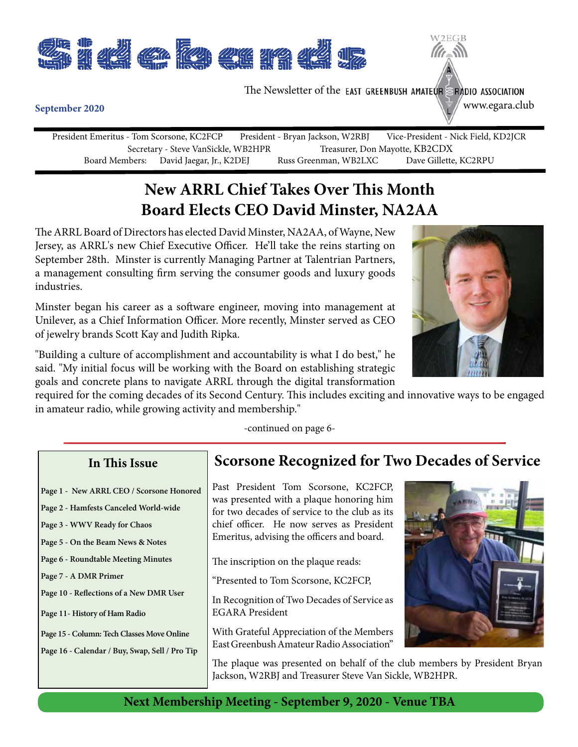

The Newsletter of the EAST GREENBUSH AMATEUR  $\geq$  RADIO ASSOCIATION

www.egara.club

W<sub>2</sub>EGB

#### **September 2020**

President Emeritus - Tom Scorsone, KC2FCP President - Bryan Jackson, W2RBJ Vice-President - Nick Field, KD2JCR Secretary - Steve VanSickle, WB2HPR<br>
Board Members: David Jaegar, Jr., K2DEJ Russ Greenman, WB2LXC Dave Gillette, KC2RPU Russ Greenman, WB2LXC

# **New ARRL Chief Takes Over This Month Board Elects CEO David Minster, NA2AA**

The ARRL Board of Directors has elected David Minster, NA2AA, of Wayne, New Jersey, as ARRL's new Chief Executive Officer. He'll take the reins starting on September 28th. Minster is currently Managing Partner at Talentrian Partners, a management consulting firm serving the consumer goods and luxury goods industries.

Minster began his career as a software engineer, moving into management at Unilever, as a Chief Information Officer. More recently, Minster served as CEO of jewelry brands Scott Kay and Judith Ripka.

"Building a culture of accomplishment and accountability is what I do best," he said. "My initial focus will be working with the Board on establishing strategic goals and concrete plans to navigate ARRL through the digital transformation

required for the coming decades of its Second Century. This includes exciting and innovative ways to be engaged in amateur radio, while growing activity and membership."

-continued on page 6-

### **In This Issue**

- **Page 1 New ARRL CEO / Scorsone Honored**
- **Page 2 Hamfests Canceled World-wide**
- **Page 3 WWV Ready for Chaos**
- **Page 5 On the Beam News & Notes**
- **Page 6 Roundtable Meeting Minutes**
- **Page 7 A DMR Primer**
- **Page 10 Reflections of a New DMR User**
- **Page 11- History of Ham Radio**
- **Page 15 Column: Tech Classes Move Online**
- **Page 16 Calendar / Buy, Swap, Sell / Pro Tip**

## **Scorsone Recognized for Two Decades of Service**

Past President Tom Scorsone, KC2FCP, was presented with a plaque honoring him for two decades of service to the club as its chief officer. He now serves as President Emeritus, advising the officers and board.

The inscription on the plaque reads:

"Presented to Tom Scorsone, KC2FCP,

In Recognition of Two Decades of Service as EGARA President

With Grateful Appreciation of the Members East Greenbush Amateur Radio Association"



The plaque was presented on behalf of the club members by President Bryan Jackson, W2RBJ and Treasurer Steve Van Sickle, WB2HPR.

**Next Membership Meeting - September 9, 2020 - Venue TBA**

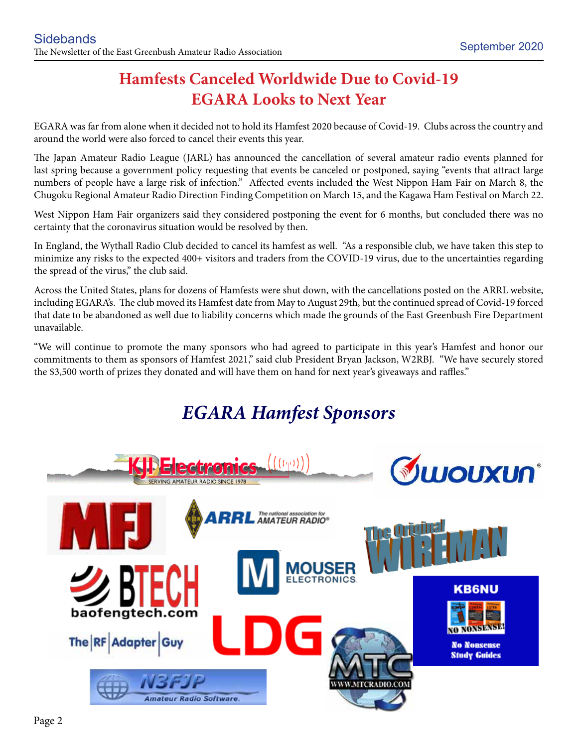# **Hamfests Canceled Worldwide Due to Covid-19 EGARA Looks to Next Year**

EGARA was far from alone when it decided not to hold its Hamfest 2020 because of Covid-19. Clubs across the country and around the world were also forced to cancel their events this year.

The Japan Amateur Radio League (JARL) has announced the cancellation of several amateur radio events planned for last spring because a government policy requesting that events be canceled or postponed, saying "events that attract large numbers of people have a large risk of infection." Affected events included the West Nippon Ham Fair on March 8, the Chugoku Regional Amateur Radio Direction Finding Competition on March 15, and the Kagawa Ham Festival on March 22.

West Nippon Ham Fair organizers said they considered postponing the event for 6 months, but concluded there was no certainty that the coronavirus situation would be resolved by then.

In England, the Wythall Radio Club decided to cancel its hamfest as well. "As a responsible club, we have taken this step to minimize any risks to the expected 400+ visitors and traders from the COVID-19 virus, due to the uncertainties regarding the spread of the virus," the club said.

Across the United States, plans for dozens of Hamfests were shut down, with the cancellations posted on the ARRL website, including EGARA's. The club moved its Hamfest date from May to August 29th, but the continued spread of Covid-19 forced that date to be abandoned as well due to liability concerns which made the grounds of the East Greenbush Fire Department unavailable.

"We will continue to promote the many sponsors who had agreed to participate in this year's Hamfest and honor our commitments to them as sponsors of Hamfest 2021," said club President Bryan Jackson, W2RBJ. "We have securely stored the \$3,500 worth of prizes they donated and will have them on hand for next year's giveaways and raffles."

# *EGARA Hamfest Sponsors*

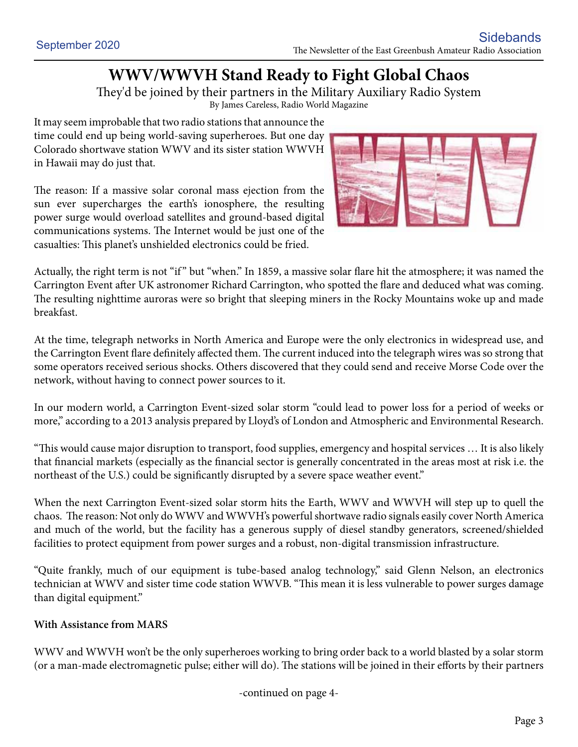# **WWV/WWVH Stand Ready to Fight Global Chaos**

They'd be joined by their partners in the Military Auxiliary Radio System

By James Careless, Radio World Magazine

It may seem improbable that two radio stations that announce the time could end up being world-saving superheroes. But one day Colorado shortwave station WWV and its sister station WWVH in Hawaii may do just that.

The reason: If a massive solar coronal mass ejection from the sun ever supercharges the earth's ionosphere, the resulting power surge would overload satellites and ground-based digital communications systems. The Internet would be just one of the casualties: This planet's unshielded electronics could be fried.



Actually, the right term is not "if " but "when." In 1859, a massive solar flare hit the atmosphere; it was named the Carrington Event after UK astronomer Richard Carrington, who spotted the flare and deduced what was coming. The resulting nighttime auroras were so bright that sleeping miners in the Rocky Mountains woke up and made breakfast.

At the time, telegraph networks in North America and Europe were the only electronics in widespread use, and the Carrington Event flare definitely affected them. The current induced into the telegraph wires was so strong that some operators received serious shocks. Others discovered that they could send and receive Morse Code over the network, without having to connect power sources to it.

In our modern world, a Carrington Event-sized solar storm "could lead to power loss for a period of weeks or more," according to a 2013 analysis prepared by Lloyd's of London and Atmospheric and Environmental Research.

"This would cause major disruption to transport, food supplies, emergency and hospital services … It is also likely that financial markets (especially as the financial sector is generally concentrated in the areas most at risk i.e. the northeast of the U.S.) could be significantly disrupted by a severe space weather event."

When the next Carrington Event-sized solar storm hits the Earth, WWV and WWVH will step up to quell the chaos. The reason: Not only do WWV and WWVH's powerful shortwave radio signals easily cover North America and much of the world, but the facility has a generous supply of diesel standby generators, screened/shielded facilities to protect equipment from power surges and a robust, non-digital transmission infrastructure.

"Quite frankly, much of our equipment is tube-based analog technology," said Glenn Nelson, an electronics technician at WWV and sister time code station WWVB. "This mean it is less vulnerable to power surges damage than digital equipment."

#### **With Assistance from MARS**

WWV and WWVH won't be the only superheroes working to bring order back to a world blasted by a solar storm (or a man-made electromagnetic pulse; either will do). The stations will be joined in their efforts by their partners

-continued on page 4-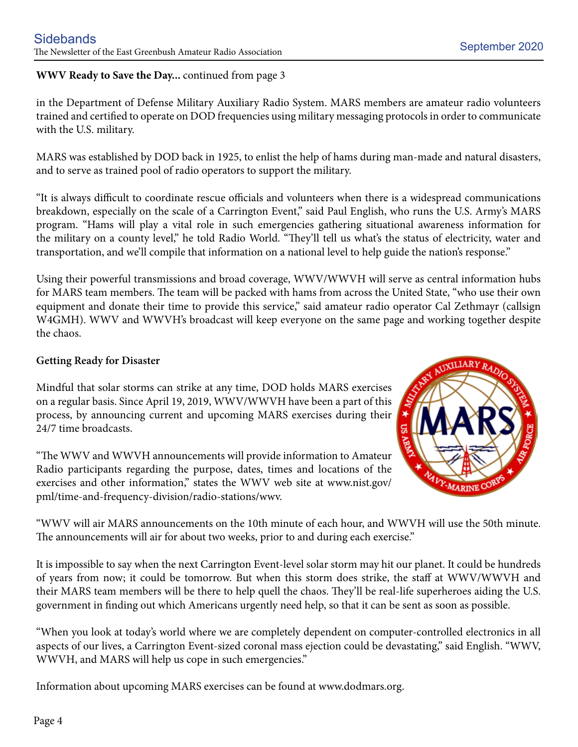#### **WWV Ready to Save the Day...** continued from page 3

in the Department of Defense Military Auxiliary Radio System. MARS members are amateur radio volunteers trained and certified to operate on DOD frequencies using military messaging protocols in order to communicate with the U.S. military.

MARS was established by DOD back in 1925, to enlist the help of hams during man-made and natural disasters, and to serve as trained pool of radio operators to support the military.

"It is always difficult to coordinate rescue officials and volunteers when there is a widespread communications breakdown, especially on the scale of a Carrington Event," said Paul English, who runs the U.S. Army's MARS program. "Hams will play a vital role in such emergencies gathering situational awareness information for the military on a county level," he told Radio World. "They'll tell us what's the status of electricity, water and transportation, and we'll compile that information on a national level to help guide the nation's response."

Using their powerful transmissions and broad coverage, WWV/WWVH will serve as central information hubs for MARS team members. The team will be packed with hams from across the United State, "who use their own equipment and donate their time to provide this service," said amateur radio operator Cal Zethmayr (callsign W4GMH). WWV and WWVH's broadcast will keep everyone on the same page and working together despite the chaos.

#### **Getting Ready for Disaster**

Mindful that solar storms can strike at any time, DOD holds MARS exercises on a regular basis. Since April 19, 2019, WWV/WWVH have been a part of this process, by announcing current and upcoming MARS exercises during their 24/7 time broadcasts.

"The WWV and WWVH announcements will provide information to Amateur Radio participants regarding the purpose, dates, times and locations of the exercises and other information," states the WWV web site at www.nist.gov/ pml/time-and-frequency-division/radio-stations/wwv.



"WWV will air MARS announcements on the 10th minute of each hour, and WWVH will use the 50th minute. The announcements will air for about two weeks, prior to and during each exercise."

It is impossible to say when the next Carrington Event-level solar storm may hit our planet. It could be hundreds of years from now; it could be tomorrow. But when this storm does strike, the staff at WWV/WWVH and their MARS team members will be there to help quell the chaos. They'll be real-life superheroes aiding the U.S. government in finding out which Americans urgently need help, so that it can be sent as soon as possible.

"When you look at today's world where we are completely dependent on computer-controlled electronics in all aspects of our lives, a Carrington Event-sized coronal mass ejection could be devastating," said English. "WWV, WWVH, and MARS will help us cope in such emergencies."

Information about upcoming MARS exercises can be found at www.dodmars.org.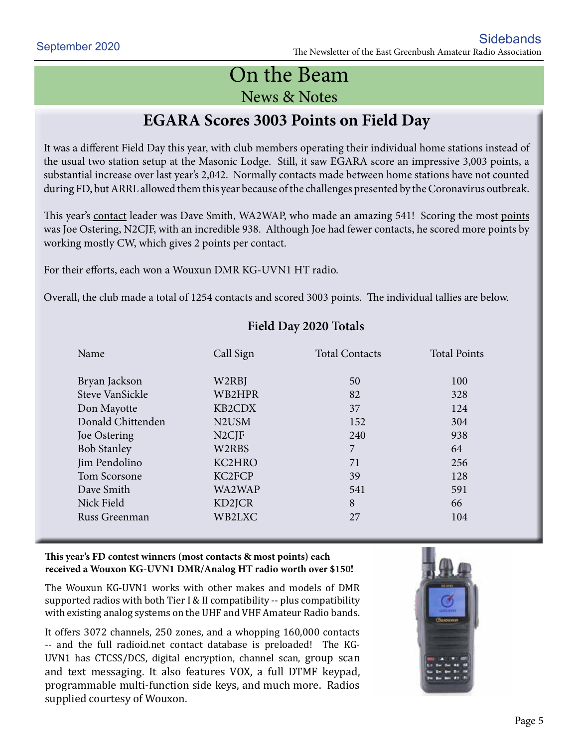# On the Beam News & Notes

# **EGARA Scores 3003 Points on Field Day**

It was a different Field Day this year, with club members operating their individual home stations instead of the usual two station setup at the Masonic Lodge. Still, it saw EGARA score an impressive 3,003 points, a substantial increase over last year's 2,042. Normally contacts made between home stations have not counted during FD, but ARRL allowed them this year because of the challenges presented by the Coronavirus outbreak.

This year's contact leader was Dave Smith, WA2WAP, who made an amazing 541! Scoring the most points was Joe Ostering, N2CJF, with an incredible 938. Although Joe had fewer contacts, he scored more points by working mostly CW, which gives 2 points per contact.

For their efforts, each won a Wouxun DMR KG-UVN1 HT radio.

Overall, the club made a total of 1254 contacts and scored 3003 points. The individual tallies are below.

| Name               | Call Sign                      | <b>Total Contacts</b> | <b>Total Points</b> |
|--------------------|--------------------------------|-----------------------|---------------------|
| Bryan Jackson      | W2RBJ                          | 50                    | 100                 |
| Steve VanSickle    | WB2HPR                         | 82                    | 328                 |
| Don Mayotte        | KB2CDX                         | 37                    | 124                 |
| Donald Chittenden  | N <sub>2</sub> U <sub>SM</sub> | 152                   | 304                 |
| Joe Ostering       | N <sub>2</sub> CJF             | 240                   | 938                 |
| <b>Bob Stanley</b> | W2RBS                          | 7                     | 64                  |
| Jim Pendolino      | KC2HRO                         | 71                    | 256                 |
| Tom Scorsone       | KC2FCP                         | 39                    | 128                 |
| Dave Smith         | WA2WAP                         | 541                   | 591                 |
| Nick Field         | KD2JCR                         | 8                     | 66                  |
| Russ Greenman      | WB2LXC                         | 27                    | 104                 |

#### **Field Day 2020 Totals**

#### **This year's FD contest winners (most contacts & most points) each received a Wouxon KG-UVN1 DMR/Analog HT radio worth over \$150!**

The Wouxun KG-UVN1 works with other makes and models of DMR supported radios with both Tier I & II compatibility -- plus compatibility with existing analog systems on the UHF and VHF Amateur Radio bands.

It offers 3072 channels, 250 zones, and a whopping 160,000 contacts -- and the full radioid.net contact database is preloaded! The KG-UVN1 has CTCSS/DCS, digital encryption, channel scan, group scan and text messaging. It also features VOX, a full DTMF keypad, programmable multi-function side keys, and much more. Radios supplied courtesy of Wouxon.

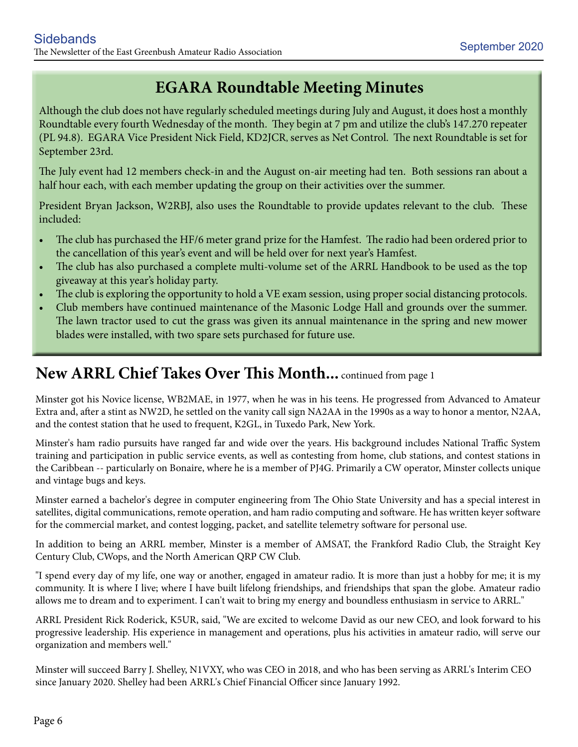# **EGARA Roundtable Meeting Minutes**

Although the club does not have regularly scheduled meetings during July and August, it does host a monthly Roundtable every fourth Wednesday of the month. They begin at 7 pm and utilize the club's 147.270 repeater (PL 94.8). EGARA Vice President Nick Field, KD2JCR, serves as Net Control. The next Roundtable is set for September 23rd.

The July event had 12 members check-in and the August on-air meeting had ten. Both sessions ran about a half hour each, with each member updating the group on their activities over the summer.

President Bryan Jackson, W2RBJ, also uses the Roundtable to provide updates relevant to the club. These included:

- The club has purchased the HF/6 meter grand prize for the Hamfest. The radio had been ordered prior to the cancellation of this year's event and will be held over for next year's Hamfest.
- The club has also purchased a complete multi-volume set of the ARRL Handbook to be used as the top giveaway at this year's holiday party.
- The club is exploring the opportunity to hold a VE exam session, using proper social distancing protocols.
- Club members have continued maintenance of the Masonic Lodge Hall and grounds over the summer. The lawn tractor used to cut the grass was given its annual maintenance in the spring and new mower blades were installed, with two spare sets purchased for future use.

# **New ARRL Chief Takes Over This Month...** continued from page 1

Minster got his Novice license, WB2MAE, in 1977, when he was in his teens. He progressed from Advanced to Amateur Extra and, after a stint as NW2D, he settled on the vanity call sign NA2AA in the 1990s as a way to honor a mentor, N2AA, and the contest station that he used to frequent, K2GL, in Tuxedo Park, New York.

Minster's ham radio pursuits have ranged far and wide over the years. His background includes National Traffic System training and participation in public service events, as well as contesting from home, club stations, and contest stations in the Caribbean -- particularly on Bonaire, where he is a member of PJ4G. Primarily a CW operator, Minster collects unique and vintage bugs and keys.

Minster earned a bachelor's degree in computer engineering from The Ohio State University and has a special interest in satellites, digital communications, remote operation, and ham radio computing and software. He has written keyer software for the commercial market, and contest logging, packet, and satellite telemetry software for personal use.

In addition to being an ARRL member, Minster is a member of AMSAT, the Frankford Radio Club, the Straight Key Century Club, CWops, and the North American QRP CW Club.

"I spend every day of my life, one way or another, engaged in amateur radio. It is more than just a hobby for me; it is my community. It is where I live; where I have built lifelong friendships, and friendships that span the globe. Amateur radio allows me to dream and to experiment. I can't wait to bring my energy and boundless enthusiasm in service to ARRL."

ARRL President Rick Roderick, K5UR, said, "We are excited to welcome David as our new CEO, and look forward to his progressive leadership. His experience in management and operations, plus his activities in amateur radio, will serve our organization and members well."

Minster will succeed Barry J. Shelley, N1VXY, who was CEO in 2018, and who has been serving as ARRL's Interim CEO since January 2020. Shelley had been ARRL's Chief Financial Officer since January 1992.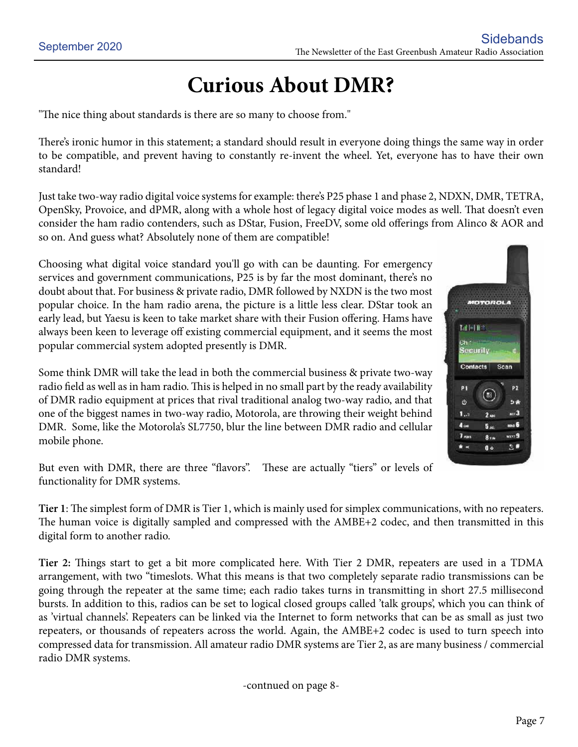# **Curious About DMR?**

"The nice thing about standards is there are so many to choose from."

There's ironic humor in this statement; a standard should result in everyone doing things the same way in order to be compatible, and prevent having to constantly re-invent the wheel. Yet, everyone has to have their own standard!

Just take two-way radio digital voice systems for example: there's P25 phase 1 and phase 2, NDXN, DMR, TETRA, OpenSky, Provoice, and dPMR, along with a whole host of legacy digital voice modes as well. That doesn't even consider the ham radio contenders, such as DStar, Fusion, FreeDV, some old offerings from Alinco & AOR and so on. And guess what? Absolutely none of them are compatible!

Choosing what digital voice standard you'll go with can be daunting. For emergency services and government communications, P25 is by far the most dominant, there's no doubt about that. For business & private radio, DMR followed by NXDN is the two most popular choice. In the ham radio arena, the picture is a little less clear. DStar took an early lead, but Yaesu is keen to take market share with their Fusion offering. Hams have always been keen to leverage off existing commercial equipment, and it seems the most popular commercial system adopted presently is DMR.

Some think DMR will take the lead in both the commercial business & private two-way radio field as well as in ham radio. This is helped in no small part by the ready availability of DMR radio equipment at prices that rival traditional analog two-way radio, and that one of the biggest names in two-way radio, Motorola, are throwing their weight behind DMR. Some, like the Motorola's SL7750, blur the line between DMR radio and cellular mobile phone.

But even with DMR, there are three "flavors". These are actually "tiers" or levels of functionality for DMR systems.

**Tier 1**: The simplest form of DMR is Tier 1, which is mainly used for simplex communications, with no repeaters. The human voice is digitally sampled and compressed with the AMBE+2 codec, and then transmitted in this digital form to another radio.

**Tier 2:** Things start to get a bit more complicated here. With Tier 2 DMR, repeaters are used in a TDMA arrangement, with two "timeslots. What this means is that two completely separate radio transmissions can be going through the repeater at the same time; each radio takes turns in transmitting in short 27.5 millisecond bursts. In addition to this, radios can be set to logical closed groups called 'talk groups', which you can think of as 'virtual channels'. Repeaters can be linked via the Internet to form networks that can be as small as just two repeaters, or thousands of repeaters across the world. Again, the AMBE+2 codec is used to turn speech into compressed data for transmission. All amateur radio DMR systems are Tier 2, as are many business / commercial radio DMR systems.

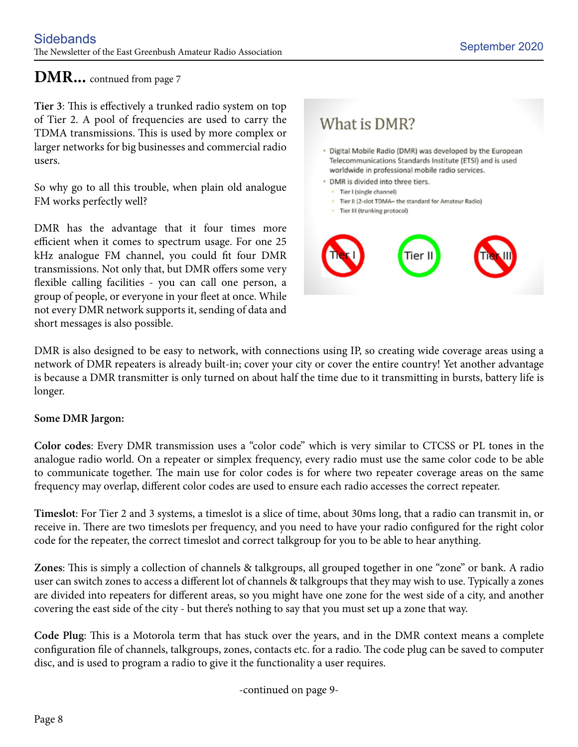## **DMR...** contnued from page 7

**Tier 3**: This is effectively a trunked radio system on top of Tier 2. A pool of frequencies are used to carry the TDMA transmissions. This is used by more complex or larger networks for big businesses and commercial radio users.

So why go to all this trouble, when plain old analogue FM works perfectly well?

DMR has the advantage that it four times more efficient when it comes to spectrum usage. For one 25 kHz analogue FM channel, you could fit four DMR transmissions. Not only that, but DMR offers some very flexible calling facilities - you can call one person, a group of people, or everyone in your fleet at once. While not every DMR network supports it, sending of data and short messages is also possible.

# What is DMR?

- · Digital Mobile Radio (DMR) was developed by the European Telecommunications Standards Institute (ETSI) and is used worldwide in professional mobile radio services.
- · DMR is divided into three tiers.
	- · Tier I (single channel)
	- · Tier II (2-slot TDMA- the standard for Amateur Radio)
	- · Tier III (trunking protocol)



DMR is also designed to be easy to network, with connections using IP, so creating wide coverage areas using a network of DMR repeaters is already built-in; cover your city or cover the entire country! Yet another advantage is because a DMR transmitter is only turned on about half the time due to it transmitting in bursts, battery life is longer.

#### **Some DMR Jargon:**

**Color codes**: Every DMR transmission uses a "color code" which is very similar to CTCSS or PL tones in the analogue radio world. On a repeater or simplex frequency, every radio must use the same color code to be able to communicate together. The main use for color codes is for where two repeater coverage areas on the same frequency may overlap, different color codes are used to ensure each radio accesses the correct repeater.

**Timeslot**: For Tier 2 and 3 systems, a timeslot is a slice of time, about 30ms long, that a radio can transmit in, or receive in. There are two timeslots per frequency, and you need to have your radio configured for the right color code for the repeater, the correct timeslot and correct talkgroup for you to be able to hear anything.

**Zones**: This is simply a collection of channels & talkgroups, all grouped together in one "zone" or bank. A radio user can switch zones to access a different lot of channels & talkgroups that they may wish to use. Typically a zones are divided into repeaters for different areas, so you might have one zone for the west side of a city, and another covering the east side of the city - but there's nothing to say that you must set up a zone that way.

**Code Plug**: This is a Motorola term that has stuck over the years, and in the DMR context means a complete configuration file of channels, talkgroups, zones, contacts etc. for a radio. The code plug can be saved to computer disc, and is used to program a radio to give it the functionality a user requires.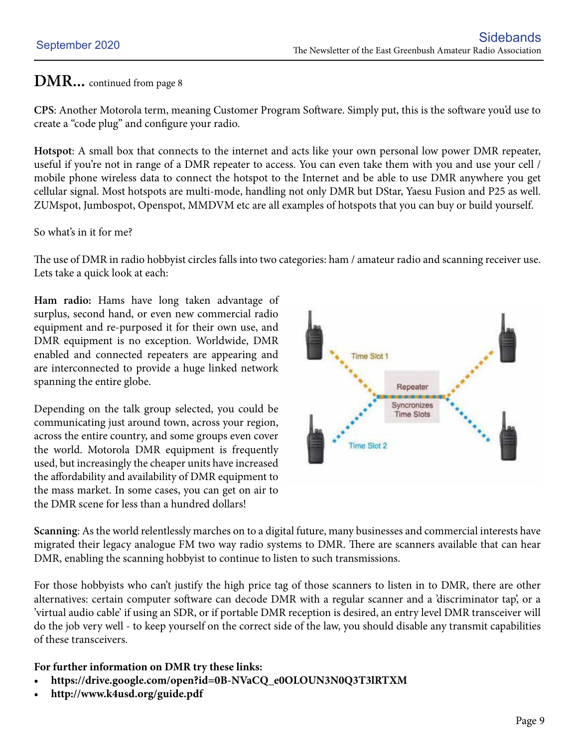## **DMR...** continued from page 8

**CPS**: Another Motorola term, meaning Customer Program Software. Simply put, this is the software you'd use to create a "code plug" and configure your radio.

**Hotspot**: A small box that connects to the internet and acts like your own personal low power DMR repeater, useful if you're not in range of a DMR repeater to access. You can even take them with you and use your cell / mobile phone wireless data to connect the hotspot to the Internet and be able to use DMR anywhere you get cellular signal. Most hotspots are multi-mode, handling not only DMR but DStar, Yaesu Fusion and P25 as well. ZUMspot, Jumbospot, Openspot, MMDVM etc are all examples of hotspots that you can buy or build yourself.

So what's in it for me?

The use of DMR in radio hobbyist circles falls into two categories: ham / amateur radio and scanning receiver use. Lets take a quick look at each:

**Ham radio:** Hams have long taken advantage of surplus, second hand, or even new commercial radio equipment and re-purposed it for their own use, and DMR equipment is no exception. Worldwide, DMR enabled and connected repeaters are appearing and are interconnected to provide a huge linked network spanning the entire globe.

Depending on the talk group selected, you could be communicating just around town, across your region, across the entire country, and some groups even cover the world. Motorola DMR equipment is frequently used, but increasingly the cheaper units have increased the affordability and availability of DMR equipment to the mass market. In some cases, you can get on air to the DMR scene for less than a hundred dollars!



**Scanning**: As the world relentlessly marches on to a digital future, many businesses and commercial interests have migrated their legacy analogue FM two way radio systems to DMR. There are scanners available that can hear DMR, enabling the scanning hobbyist to continue to listen to such transmissions.

For those hobbyists who can't justify the high price tag of those scanners to listen in to DMR, there are other alternatives: certain computer software can decode DMR with a regular scanner and a 'discriminator tap', or a 'virtual audio cable' if using an SDR, or if portable DMR reception is desired, an entry level DMR transceiver will do the job very well - to keep yourself on the correct side of the law, you should disable any transmit capabilities of these transceivers.

#### **For further information on DMR try these links:**

- **• https://drive.google.com/open?id=0B-NVaCQ\_e0OLOUN3N0Q3T3lRTXM**
- **• http://www.k4usd.org/guide.pdf**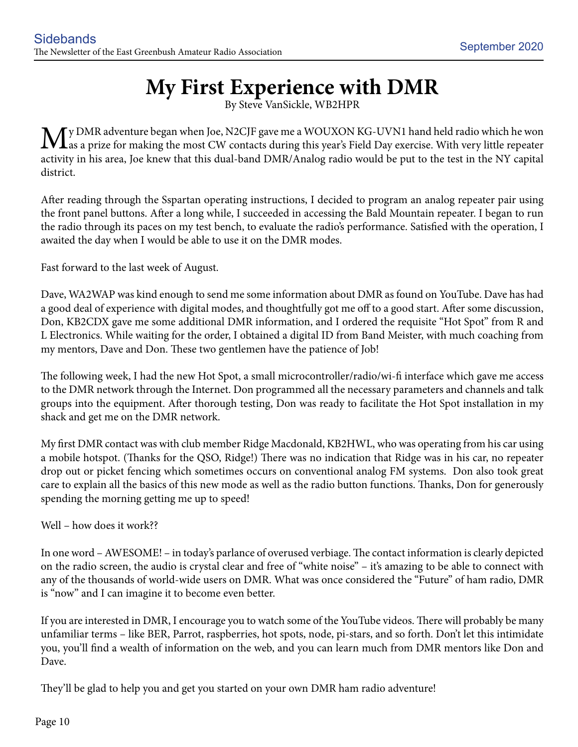# **My First Experience with DMR**

By Steve VanSickle, WB2HPR

 $M_s^{\text{y} \text{DMR}}$  adventure began when Joe, N2CJF gave me a WOUXON KG-UVN1 hand held radio which he won as a prize for making the most CW contacts during this year's Field Day exercise. With very little repeater activity in his area, Joe knew that this dual-band DMR/Analog radio would be put to the test in the NY capital district.

After reading through the Sspartan operating instructions, I decided to program an analog repeater pair using the front panel buttons. After a long while, I succeeded in accessing the Bald Mountain repeater. I began to run the radio through its paces on my test bench, to evaluate the radio's performance. Satisfied with the operation, I awaited the day when I would be able to use it on the DMR modes.

Fast forward to the last week of August.

Dave, WA2WAP was kind enough to send me some information about DMR as found on YouTube. Dave has had a good deal of experience with digital modes, and thoughtfully got me off to a good start. After some discussion, Don, KB2CDX gave me some additional DMR information, and I ordered the requisite "Hot Spot" from R and L Electronics. While waiting for the order, I obtained a digital ID from Band Meister, with much coaching from my mentors, Dave and Don. These two gentlemen have the patience of Job!

The following week, I had the new Hot Spot, a small microcontroller/radio/wi-fi interface which gave me access to the DMR network through the Internet. Don programmed all the necessary parameters and channels and talk groups into the equipment. After thorough testing, Don was ready to facilitate the Hot Spot installation in my shack and get me on the DMR network.

My first DMR contact was with club member Ridge Macdonald, KB2HWL, who was operating from his car using a mobile hotspot. (Thanks for the QSO, Ridge!) There was no indication that Ridge was in his car, no repeater drop out or picket fencing which sometimes occurs on conventional analog FM systems. Don also took great care to explain all the basics of this new mode as well as the radio button functions. Thanks, Don for generously spending the morning getting me up to speed!

#### Well – how does it work??

In one word – AWESOME! – in today's parlance of overused verbiage. The contact information is clearly depicted on the radio screen, the audio is crystal clear and free of "white noise" – it's amazing to be able to connect with any of the thousands of world-wide users on DMR. What was once considered the "Future" of ham radio, DMR is "now" and I can imagine it to become even better.

If you are interested in DMR, I encourage you to watch some of the YouTube videos. There will probably be many unfamiliar terms – like BER, Parrot, raspberries, hot spots, node, pi-stars, and so forth. Don't let this intimidate you, you'll find a wealth of information on the web, and you can learn much from DMR mentors like Don and Dave.

They'll be glad to help you and get you started on your own DMR ham radio adventure!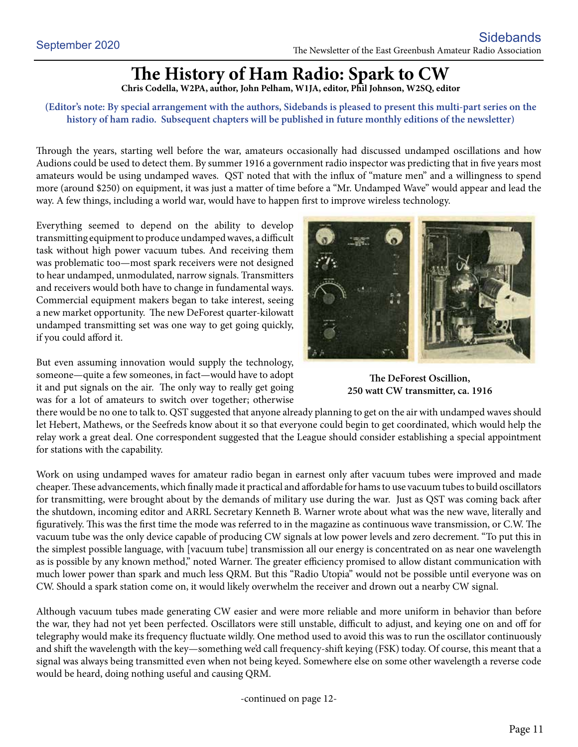# **The History of Ham Radio: Spark to CW**

**Chris Codella, W2PA, author, John Pelham, W1JA, editor, Phil Johnson, W2SQ, editor**

#### **(Editor's note: By special arrangement with the authors, Sidebands is pleased to present this multi-part series on the history of ham radio. Subsequent chapters will be published in future monthly editions of the newsletter)**

Through the years, starting well before the war, amateurs occasionally had discussed undamped oscillations and how Audions could be used to detect them. By summer 1916 a government radio inspector was predicting that in five years most amateurs would be using undamped waves. QST noted that with the influx of "mature men" and a willingness to spend more (around \$250) on equipment, it was just a matter of time before a "Mr. Undamped Wave" would appear and lead the way. A few things, including a world war, would have to happen first to improve wireless technology.

Everything seemed to depend on the ability to develop transmitting equipment to produce undamped waves, a difficult task without high power vacuum tubes. And receiving them was problematic too—most spark receivers were not designed to hear undamped, unmodulated, narrow signals. Transmitters and receivers would both have to change in fundamental ways. Commercial equipment makers began to take interest, seeing a new market opportunity. The new DeForest quarter-kilowatt undamped transmitting set was one way to get going quickly, if you could afford it.

But even assuming innovation would supply the technology, someone—quite a few someones, in fact—would have to adopt it and put signals on the air. The only way to really get going was for a lot of amateurs to switch over together; otherwise



**The DeForest Oscillion, 250 watt CW transmitter, ca. 1916**

there would be no one to talk to. QST suggested that anyone already planning to get on the air with undamped waves should let Hebert, Mathews, or the Seefreds know about it so that everyone could begin to get coordinated, which would help the relay work a great deal. One correspondent suggested that the League should consider establishing a special appointment for stations with the capability.

Work on using undamped waves for amateur radio began in earnest only after vacuum tubes were improved and made cheaper. These advancements, which finally made it practical and affordable for hams to use vacuum tubes to build oscillators for transmitting, were brought about by the demands of military use during the war. Just as QST was coming back after the shutdown, incoming editor and ARRL Secretary Kenneth B. Warner wrote about what was the new wave, literally and figuratively. This was the first time the mode was referred to in the magazine as continuous wave transmission, or C.W. The vacuum tube was the only device capable of producing CW signals at low power levels and zero decrement. "To put this in the simplest possible language, with [vacuum tube] transmission all our energy is concentrated on as near one wavelength as is possible by any known method," noted Warner. The greater efficiency promised to allow distant communication with much lower power than spark and much less QRM. But this "Radio Utopia" would not be possible until everyone was on CW. Should a spark station come on, it would likely overwhelm the receiver and drown out a nearby CW signal.

Although vacuum tubes made generating CW easier and were more reliable and more uniform in behavior than before the war, they had not yet been perfected. Oscillators were still unstable, difficult to adjust, and keying one on and off for telegraphy would make its frequency fluctuate wildly. One method used to avoid this was to run the oscillator continuously and shift the wavelength with the key—something we'd call frequency-shift keying (FSK) today. Of course, this meant that a signal was always being transmitted even when not being keyed. Somewhere else on some other wavelength a reverse code would be heard, doing nothing useful and causing QRM.

-continued on page 12-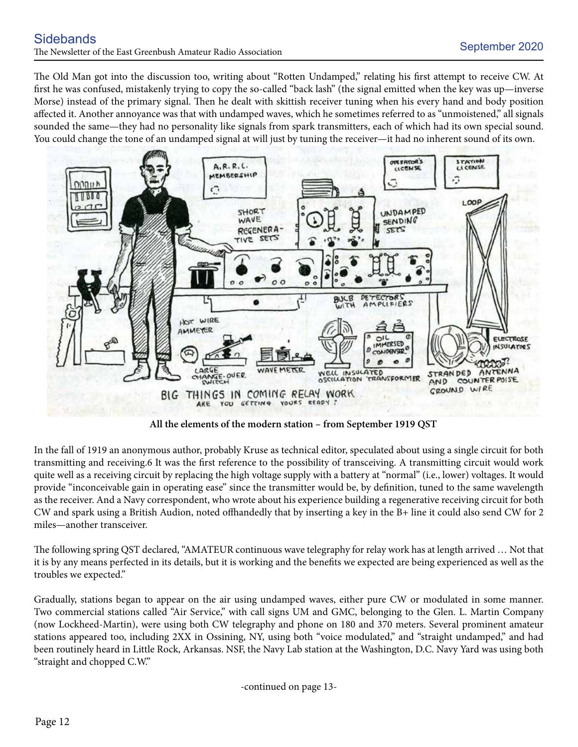The Old Man got into the discussion too, writing about "Rotten Undamped," relating his first attempt to receive CW. At first he was confused, mistakenly trying to copy the so-called "back lash" (the signal emitted when the key was up—inverse Morse) instead of the primary signal. Then he dealt with skittish receiver tuning when his every hand and body position affected it. Another annoyance was that with undamped waves, which he sometimes referred to as "unmoistened," all signals sounded the same—they had no personality like signals from spark transmitters, each of which had its own special sound. You could change the tone of an undamped signal at will just by tuning the receiver—it had no inherent sound of its own.



**All the elements of the modern station – from September 1919 QST**

In the fall of 1919 an anonymous author, probably Kruse as technical editor, speculated about using a single circuit for both transmitting and receiving.6 It was the first reference to the possibility of transceiving. A transmitting circuit would work quite well as a receiving circuit by replacing the high voltage supply with a battery at "normal" (i.e., lower) voltages. It would provide "inconceivable gain in operating ease" since the transmitter would be, by definition, tuned to the same wavelength as the receiver. And a Navy correspondent, who wrote about his experience building a regenerative receiving circuit for both CW and spark using a British Audion, noted offhandedly that by inserting a key in the B+ line it could also send CW for 2 miles—another transceiver.

The following spring QST declared, "AMATEUR continuous wave telegraphy for relay work has at length arrived … Not that it is by any means perfected in its details, but it is working and the benefits we expected are being experienced as well as the troubles we expected."

Gradually, stations began to appear on the air using undamped waves, either pure CW or modulated in some manner. Two commercial stations called "Air Service," with call signs UM and GMC, belonging to the Glen. L. Martin Company (now Lockheed-Martin), were using both CW telegraphy and phone on 180 and 370 meters. Several prominent amateur stations appeared too, including 2XX in Ossining, NY, using both "voice modulated," and "straight undamped," and had been routinely heard in Little Rock, Arkansas. NSF, the Navy Lab station at the Washington, D.C. Navy Yard was using both "straight and chopped C.W."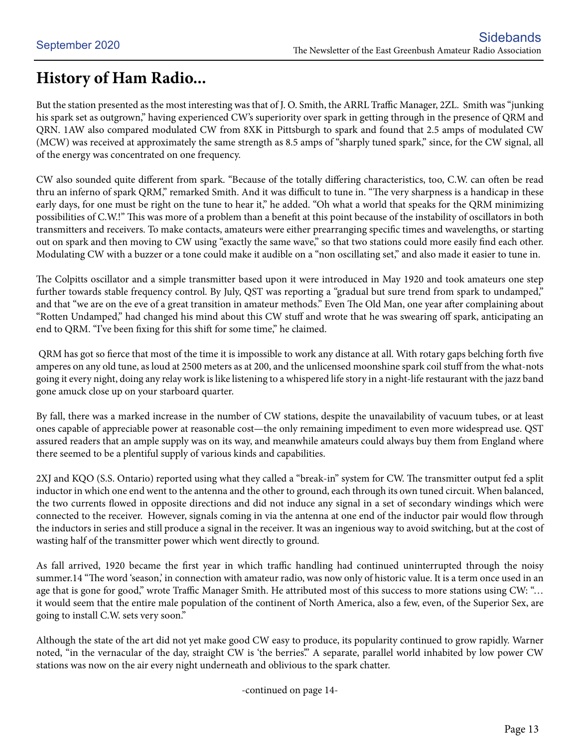# **History of Ham Radio...**

But the station presented as the most interesting was that of J. O. Smith, the ARRL Traffic Manager, 2ZL. Smith was "junking his spark set as outgrown," having experienced CW's superiority over spark in getting through in the presence of QRM and QRN. 1AW also compared modulated CW from 8XK in Pittsburgh to spark and found that 2.5 amps of modulated CW (MCW) was received at approximately the same strength as 8.5 amps of "sharply tuned spark," since, for the CW signal, all of the energy was concentrated on one frequency.

CW also sounded quite different from spark. "Because of the totally differing characteristics, too, C.W. can often be read thru an inferno of spark QRM," remarked Smith. And it was difficult to tune in. "The very sharpness is a handicap in these early days, for one must be right on the tune to hear it," he added. "Oh what a world that speaks for the QRM minimizing possibilities of C.W.!" This was more of a problem than a benefit at this point because of the instability of oscillators in both transmitters and receivers. To make contacts, amateurs were either prearranging specific times and wavelengths, or starting out on spark and then moving to CW using "exactly the same wave," so that two stations could more easily find each other. Modulating CW with a buzzer or a tone could make it audible on a "non oscillating set," and also made it easier to tune in.

The Colpitts oscillator and a simple transmitter based upon it were introduced in May 1920 and took amateurs one step further towards stable frequency control. By July, QST was reporting a "gradual but sure trend from spark to undamped," and that "we are on the eve of a great transition in amateur methods." Even The Old Man, one year after complaining about "Rotten Undamped," had changed his mind about this CW stuff and wrote that he was swearing off spark, anticipating an end to QRM. "I've been fixing for this shift for some time," he claimed.

 QRM has got so fierce that most of the time it is impossible to work any distance at all. With rotary gaps belching forth five amperes on any old tune, as loud at 2500 meters as at 200, and the unlicensed moonshine spark coil stuff from the what-nots going it every night, doing any relay work is like listening to a whispered life story in a night-life restaurant with the jazz band gone amuck close up on your starboard quarter.

By fall, there was a marked increase in the number of CW stations, despite the unavailability of vacuum tubes, or at least ones capable of appreciable power at reasonable cost—the only remaining impediment to even more widespread use. QST assured readers that an ample supply was on its way, and meanwhile amateurs could always buy them from England where there seemed to be a plentiful supply of various kinds and capabilities.

2XJ and KQO (S.S. Ontario) reported using what they called a "break-in" system for CW. The transmitter output fed a split inductor in which one end went to the antenna and the other to ground, each through its own tuned circuit. When balanced, the two currents flowed in opposite directions and did not induce any signal in a set of secondary windings which were connected to the receiver. However, signals coming in via the antenna at one end of the inductor pair would flow through the inductors in series and still produce a signal in the receiver. It was an ingenious way to avoid switching, but at the cost of wasting half of the transmitter power which went directly to ground.

As fall arrived, 1920 became the first year in which traffic handling had continued uninterrupted through the noisy summer.14 "The word 'season,' in connection with amateur radio, was now only of historic value. It is a term once used in an age that is gone for good," wrote Traffic Manager Smith. He attributed most of this success to more stations using CW: "... it would seem that the entire male population of the continent of North America, also a few, even, of the Superior Sex, are going to install C.W. sets very soon."

Although the state of the art did not yet make good CW easy to produce, its popularity continued to grow rapidly. Warner noted, "in the vernacular of the day, straight CW is 'the berries'." A separate, parallel world inhabited by low power CW stations was now on the air every night underneath and oblivious to the spark chatter.

-continued on page 14-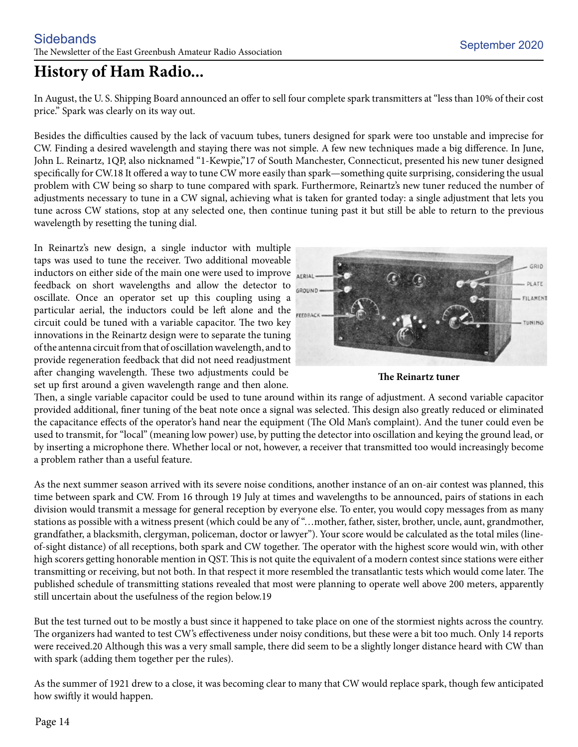# **History of Ham Radio...**

In August, the U. S. Shipping Board announced an offer to sell four complete spark transmitters at "less than 10% of their cost price." Spark was clearly on its way out.

Besides the difficulties caused by the lack of vacuum tubes, tuners designed for spark were too unstable and imprecise for CW. Finding a desired wavelength and staying there was not simple. A few new techniques made a big difference. In June, John L. Reinartz, 1QP, also nicknamed "1-Kewpie,"17 of South Manchester, Connecticut, presented his new tuner designed specifically for CW.18 It offered a way to tune CW more easily than spark—something quite surprising, considering the usual problem with CW being so sharp to tune compared with spark. Furthermore, Reinartz's new tuner reduced the number of adjustments necessary to tune in a CW signal, achieving what is taken for granted today: a single adjustment that lets you tune across CW stations, stop at any selected one, then continue tuning past it but still be able to return to the previous wavelength by resetting the tuning dial.

In Reinartz's new design, a single inductor with multiple taps was used to tune the receiver. Two additional moveable inductors on either side of the main one were used to improve feedback on short wavelengths and allow the detector to oscillate. Once an operator set up this coupling using a particular aerial, the inductors could be left alone and the circuit could be tuned with a variable capacitor. The two key innovations in the Reinartz design were to separate the tuning of the antenna circuit from that of oscillation wavelength, and to provide regeneration feedback that did not need readjustment after changing wavelength. These two adjustments could be set up first around a given wavelength range and then alone.



**The Reinartz tuner**

Then, a single variable capacitor could be used to tune around within its range of adjustment. A second variable capacitor provided additional, finer tuning of the beat note once a signal was selected. This design also greatly reduced or eliminated the capacitance effects of the operator's hand near the equipment (The Old Man's complaint). And the tuner could even be used to transmit, for "local" (meaning low power) use, by putting the detector into oscillation and keying the ground lead, or by inserting a microphone there. Whether local or not, however, a receiver that transmitted too would increasingly become a problem rather than a useful feature.

As the next summer season arrived with its severe noise conditions, another instance of an on-air contest was planned, this time between spark and CW. From 16 through 19 July at times and wavelengths to be announced, pairs of stations in each division would transmit a message for general reception by everyone else. To enter, you would copy messages from as many stations as possible with a witness present (which could be any of "…mother, father, sister, brother, uncle, aunt, grandmother, grandfather, a blacksmith, clergyman, policeman, doctor or lawyer"). Your score would be calculated as the total miles (lineof-sight distance) of all receptions, both spark and CW together. The operator with the highest score would win, with other high scorers getting honorable mention in QST. This is not quite the equivalent of a modern contest since stations were either transmitting or receiving, but not both. In that respect it more resembled the transatlantic tests which would come later. The published schedule of transmitting stations revealed that most were planning to operate well above 200 meters, apparently still uncertain about the usefulness of the region below.19

But the test turned out to be mostly a bust since it happened to take place on one of the stormiest nights across the country. The organizers had wanted to test CW's effectiveness under noisy conditions, but these were a bit too much. Only 14 reports were received.20 Although this was a very small sample, there did seem to be a slightly longer distance heard with CW than with spark (adding them together per the rules).

As the summer of 1921 drew to a close, it was becoming clear to many that CW would replace spark, though few anticipated how swiftly it would happen.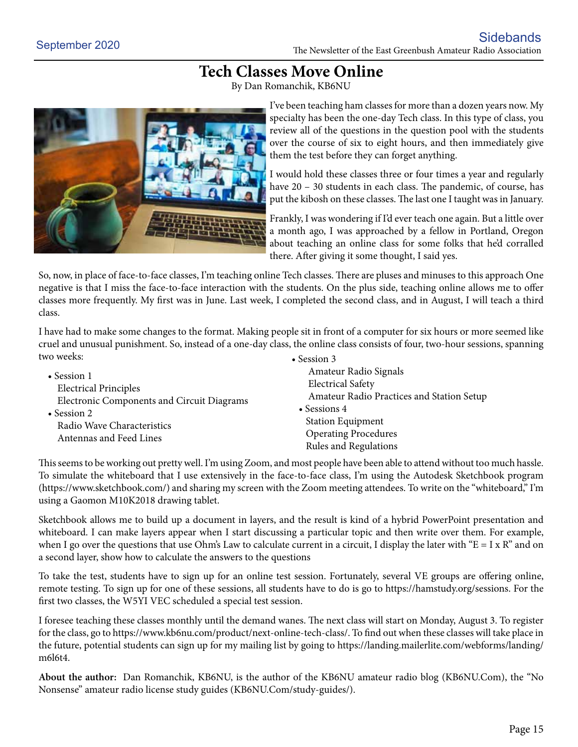## **Tech Classes Move Online**

By Dan Romanchik, KB6NU



I've been teaching ham classes for more than a dozen years now. My specialty has been the one-day Tech class. In this type of class, you review all of the questions in the question pool with the students over the course of six to eight hours, and then immediately give them the test before they can forget anything.

I would hold these classes three or four times a year and regularly have 20 – 30 students in each class. The pandemic, of course, has put the kibosh on these classes. The last one I taught was in January.

Frankly, I was wondering if I'd ever teach one again. But a little over a month ago, I was approached by a fellow in Portland, Oregon about teaching an online class for some folks that he'd corralled there. After giving it some thought, I said yes.

So, now, in place of face-to-face classes, I'm teaching online Tech classes. There are pluses and minuses to this approach One negative is that I miss the face-to-face interaction with the students. On the plus side, teaching online allows me to offer classes more frequently. My first was in June. Last week, I completed the second class, and in August, I will teach a third class.

I have had to make some changes to the format. Making people sit in front of a computer for six hours or more seemed like cruel and unusual punishment. So, instead of a one-day class, the online class consists of four, two-hour sessions, spanning two weeks: • Session 3

| $\bullet$ Session 1                               | Amateur Radio Signals                     |
|---------------------------------------------------|-------------------------------------------|
| <b>Electrical Principles</b>                      | <b>Electrical Safety</b>                  |
| Electronic Components and Circuit Diagrams        | Amateur Radio Practices and Station Setup |
| $\bullet$ Session 2<br>Radio Wave Characteristics | • Sessions $4$                            |
|                                                   | <b>Station Equipment</b>                  |
| Antennas and Feed Lines                           | <b>Operating Procedures</b>               |
|                                                   | Rules and Regulations                     |

This seems to be working out pretty well. I'm using Zoom, and most people have been able to attend without too much hassle. To simulate the whiteboard that I use extensively in the face-to-face class, I'm using the Autodesk Sketchbook program (https://www.sketchbook.com/) and sharing my screen with the Zoom meeting attendees. To write on the "whiteboard," I'm using a Gaomon M10K2018 drawing tablet.

Sketchbook allows me to build up a document in layers, and the result is kind of a hybrid PowerPoint presentation and whiteboard. I can make layers appear when I start discussing a particular topic and then write over them. For example, when I go over the questions that use Ohm's Law to calculate current in a circuit, I display the later with " $E = I x R$ " and on a second layer, show how to calculate the answers to the questions

To take the test, students have to sign up for an online test session. Fortunately, several VE groups are offering online, remote testing. To sign up for one of these sessions, all students have to do is go to https://hamstudy.org/sessions. For the first two classes, the W5YI VEC scheduled a special test session.

I foresee teaching these classes monthly until the demand wanes. The next class will start on Monday, August 3. To register for the class, go to https://www.kb6nu.com/product/next-online-tech-class/. To find out when these classes will take place in the future, potential students can sign up for my mailing list by going to https://landing.mailerlite.com/webforms/landing/ m6l6t4.

**About the author:** Dan Romanchik, KB6NU, is the author of the KB6NU amateur radio blog (KB6NU.Com), the "No Nonsense" amateur radio license study guides (KB6NU.Com/study-guides/).